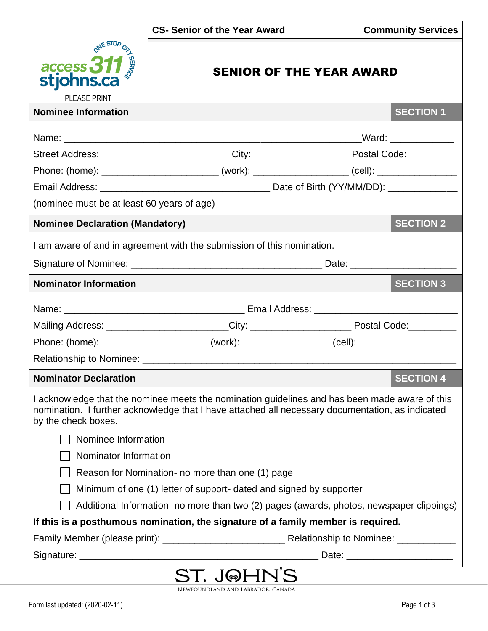|                                                                                                                                                                                                                           | <b>CS- Senior of the Year Award</b>                                                                            | <b>Community Services</b> |  |  |
|---------------------------------------------------------------------------------------------------------------------------------------------------------------------------------------------------------------------------|----------------------------------------------------------------------------------------------------------------|---------------------------|--|--|
| ONE STOP<br>$\frac{access}{s^*}$ 311<br>stjohns.ca<br>PLEASE PRINT                                                                                                                                                        | <b>SENIOR OF THE YEAR AWARD</b>                                                                                |                           |  |  |
| <b>Nominee Information</b><br><b>SECTION 1</b>                                                                                                                                                                            |                                                                                                                |                           |  |  |
|                                                                                                                                                                                                                           |                                                                                                                |                           |  |  |
|                                                                                                                                                                                                                           | Street Address: ____________________________City: __________________________Postal Code: __________            |                           |  |  |
|                                                                                                                                                                                                                           | Phone: (home): ________________________________ (work): ________________________ (cell): _____________________ |                           |  |  |
|                                                                                                                                                                                                                           |                                                                                                                |                           |  |  |
| (nominee must be at least 60 years of age)                                                                                                                                                                                |                                                                                                                |                           |  |  |
| <b>Nominee Declaration (Mandatory)</b>                                                                                                                                                                                    |                                                                                                                | <b>SECTION 2</b>          |  |  |
| I am aware of and in agreement with the submission of this nomination.                                                                                                                                                    |                                                                                                                |                           |  |  |
|                                                                                                                                                                                                                           |                                                                                                                |                           |  |  |
| <b>Nominator Information</b>                                                                                                                                                                                              |                                                                                                                | <b>SECTION 3</b>          |  |  |
|                                                                                                                                                                                                                           |                                                                                                                |                           |  |  |
|                                                                                                                                                                                                                           | Mailing Address: ________________________City: _________________________________Postal Code:_____________      |                           |  |  |
|                                                                                                                                                                                                                           | Phone: (home): ____________________________ (work): ____________________ (cell):____________________           |                           |  |  |
|                                                                                                                                                                                                                           |                                                                                                                |                           |  |  |
| <b>SECTION 4</b><br><b>Nominator Declaration</b>                                                                                                                                                                          |                                                                                                                |                           |  |  |
| I acknowledge that the nominee meets the nomination guidelines and has been made aware of this<br>nomination. I further acknowledge that I have attached all necessary documentation, as indicated<br>by the check boxes. |                                                                                                                |                           |  |  |
| Nominee Information                                                                                                                                                                                                       |                                                                                                                |                           |  |  |
| Nominator Information                                                                                                                                                                                                     |                                                                                                                |                           |  |  |
| Reason for Nomination- no more than one (1) page                                                                                                                                                                          |                                                                                                                |                           |  |  |
| Minimum of one (1) letter of support- dated and signed by supporter                                                                                                                                                       |                                                                                                                |                           |  |  |
| Additional Information- no more than two (2) pages (awards, photos, newspaper clippings)                                                                                                                                  |                                                                                                                |                           |  |  |
| If this is a posthumous nomination, the signature of a family member is required.                                                                                                                                         |                                                                                                                |                           |  |  |
|                                                                                                                                                                                                                           |                                                                                                                |                           |  |  |
| $\frac{1}{2}$                                                                                                                                                                                                             |                                                                                                                |                           |  |  |

**ST. J@HN'S** NEWFOUNDLAND AND LABRADOR, CANADA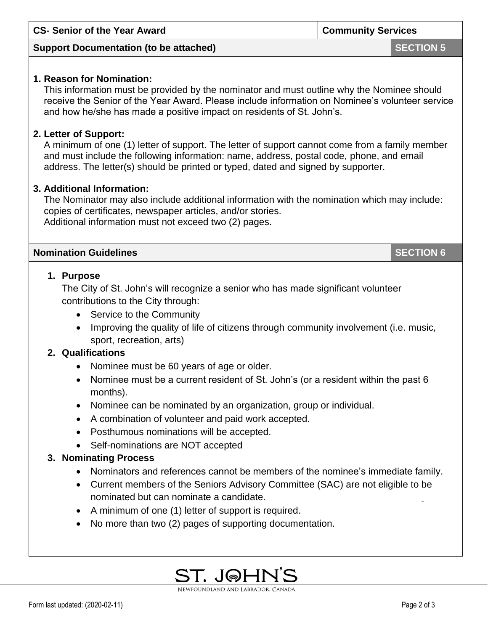| <b>CS- Senior of the Year Award</b>                                                                                                                                                                                                                                                                                                                                                                                              | <b>Community Services</b> |  |  |
|----------------------------------------------------------------------------------------------------------------------------------------------------------------------------------------------------------------------------------------------------------------------------------------------------------------------------------------------------------------------------------------------------------------------------------|---------------------------|--|--|
| <b>Support Documentation (to be attached)</b>                                                                                                                                                                                                                                                                                                                                                                                    | <b>SECTION 5</b>          |  |  |
| 1. Reason for Nomination:<br>This information must be provided by the nominator and must outline why the Nominee should<br>receive the Senior of the Year Award. Please include information on Nominee's volunteer service<br>and how he/she has made a positive impact on residents of St. John's.                                                                                                                              |                           |  |  |
| 2. Letter of Support:<br>A minimum of one (1) letter of support. The letter of support cannot come from a family member<br>and must include the following information: name, address, postal code, phone, and email<br>address. The letter(s) should be printed or typed, dated and signed by supporter.                                                                                                                         |                           |  |  |
| 3. Additional Information:<br>The Nominator may also include additional information with the nomination which may include:<br>copies of certificates, newspaper articles, and/or stories.<br>Additional information must not exceed two (2) pages.                                                                                                                                                                               |                           |  |  |
| <b>Nomination Guidelines</b>                                                                                                                                                                                                                                                                                                                                                                                                     | <b>SECTION 6</b>          |  |  |
| 1. Purpose<br>The City of St. John's will recognize a senior who has made significant volunteer<br>contributions to the City through:<br>• Service to the Community<br>Improving the quality of life of citizens through community involvement (i.e. music,<br>$\bullet$<br>sport, recreation, arts)                                                                                                                             |                           |  |  |
| 2. Qualifications<br>Nominee must be 60 years of age or older.<br>• Nominee must be a current resident of St. John's (or a resident within the past 6<br>months).<br>Nominee can be nominated by an organization, group or individual.<br>A combination of volunteer and paid work accepted.<br>$\bullet$<br>Posthumous nominations will be accepted.<br>$\bullet$<br>Self-nominations are NOT accepted<br>3. Nominating Process |                           |  |  |
| Nominators and references cannot be members of the nominee's immediate family.<br>Current members of the Seniors Advisory Committee (SAC) are not eligible to be<br>nominated but can nominate a candidate.                                                                                                                                                                                                                      |                           |  |  |

- A minimum of one (1) letter of support is required.
- No more than two (2) pages of supporting documentation.